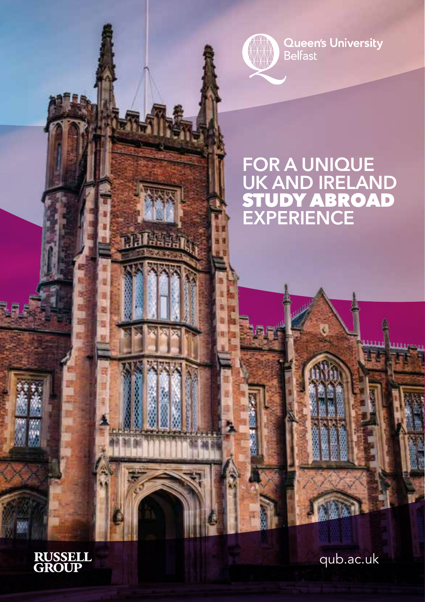**Queen's University**<br>Belfast

# **FOR A UNIQUE UK AND IRELAND** STUDY ABROAD **EXPERIENCE**

is<br>H

**RUSSELL<br>GROUP** 

**THE RE** 

t ä E. ŧ

qub.ac.uk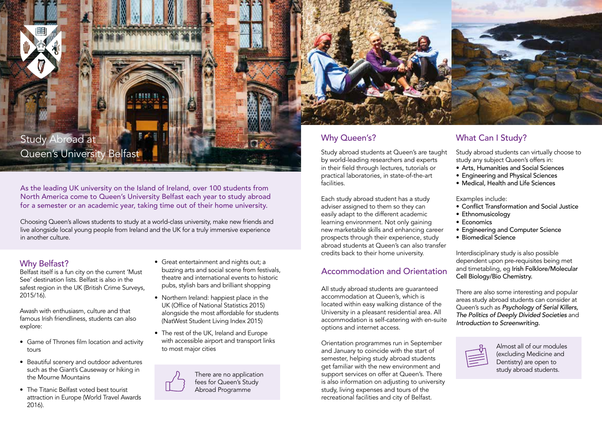# Study Abroad at Queen's University Belfast

As the leading UK university on the Island of Ireland, over 100 students from North America come to Queen's University Belfast each year to study abroad for a semester or an academic year, taking time out of their home university.

Choosing Queen's allows students to study at a world-class university, make new friends and live alongside local young people from Ireland and the UK for a truly immersive experience in another culture.

# Why Belfast?

Belfast itself is a fun city on the current 'Must See' destination lists. Belfast is also in the safest region in the UK (British Crime Surveys, 2015/16).

Awash with enthusiasm, culture and that famous Irish friendliness, students can also explore:

- Game of Thrones film location and activity tours
- Beautiful scenery and outdoor adventures such as the Giant's Causeway or hiking in the Mourne Mountains
- The Titanic Belfast voted best tourist attraction in Europe (World Travel Awards 2016).
- Great entertainment and nights out; a buzzing arts and social scene from festivals, theatre and international events to historic pubs, stylish bars and brilliant shopping
- Northern Ireland: happiest place in the UK (Office of National Statistics 2015) alongside the most affordable for students (NatWest Student Living Index 2015)
- The rest of the UK, Ireland and Europe with accessible airport and transport links to most major cities

There are no application fees for Queen's Study Abroad Programme



Study abroad students at Queen's are taught by world-leading researchers and experts in their field through lectures, tutorials or practical laboratories, in state-of-the-art facilities.

Each study abroad student has a study adviser assigned to them so they can easily adapt to the different academic learning environment. Not only gaining new marketable skills and enhancing career prospects through their experience, study abroad students at Queen's can also transfer credits back to their home university.

# Accommodation and Orientation

All study abroad students are guaranteed accommodation at Queen's, which is located within easy walking distance of the University in a pleasant residential area. All accommodation is self-catering with en-suite options and internet access.

Orientation programmes run in September and January to coincide with the start of semester, helping study abroad students get familiar with the new environment and support services on offer at Queen's. There is also information on adjusting to university study, living expenses and tours of the recreational facilities and city of Belfast.

# Why Queen's? What Can I Study?

Study abroad students can virtually choose to study any subject Queen's offers in:

- Arts, Humanities and Social Sciences
- Engineering and Physical Sciences
- Medical, Health and Life Sciences

Examples include:

- Conflict Transformation and Social Justice
- Ethnomusicology
- Economics
- Engineering and Computer Science
- Biomedical Science

Interdisciplinary study is also possible dependent upon pre-requisites being met and timetabling, eg Irish Folklore/Molecular Cell Biology/Bio Chemistry.

There are also some interesting and popular areas study abroad students can consider at Queen's such as *Psychology of Serial Killers, The Politics of Deeply Divided Societies* and *Introduction to Screenwriting.*



Almost all of our modules (excluding Medicine and Dentistry) are open to study abroad students.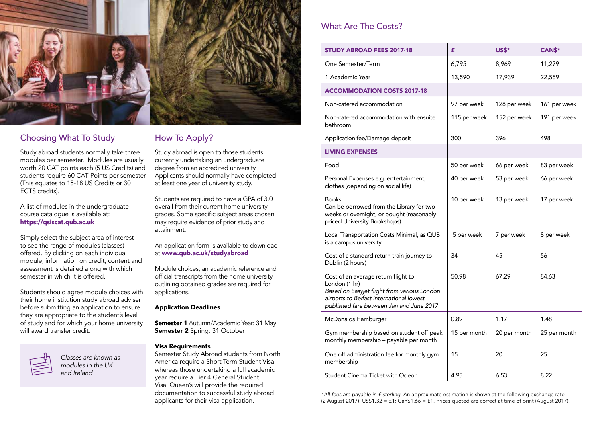

# Choosing What To Study How To Apply?

Study abroad students normally take three modules per semester. Modules are usually worth 20 CAT points each (5 US Credits) and students require 60 CAT Points per semester (This equates to 15-18 US Credits or 30 ECTS credits).

A list of modules in the undergraduate course catalogue is available at: https://qsiscat.qub.ac.uk

Simply select the subject area of interest to see the range of modules (classes) offered. By clicking on each individual module, information on credit, content and assessment is detailed along with which semester in which it is offered.

Students should agree module choices with their home institution study abroad adviser before submitting an application to ensure they are appropriate to the student's level of study and for which your home university will award transfer credit.



*Classes are known as modules in the UK and Ireland* 

Study abroad is open to those students currently undertaking an undergraduate degree from an accredited university. Applicants should normally have completed at least one year of university study.

Students are required to have a GPA of 3.0 overall from their current home university grades. Some specific subject areas chosen may require evidence of prior study and attainment.

#### An application form is available to download at www.qub.ac.uk/studyabroad

Module choices, an academic reference and official transcripts from the home university outlining obtained grades are required for applications.

### Application Deadlines

**Semester 1** Autumn/Academic Year: 31 May Semester 2 Spring: 31 October

#### Visa Requirements

Semester Study Abroad students from North America require a Short Term Student Visa whereas those undertaking a full academic year require a Tier 4 General Student Visa. Queen's will provide the required documentation to successful study abroad applicants for their visa application.

# What Are The Costs?

| <b>STUDY ABROAD FEES 2017-18</b>                                                                                                                                                            | £            | US\$*        | CAN\$*       |
|---------------------------------------------------------------------------------------------------------------------------------------------------------------------------------------------|--------------|--------------|--------------|
| One Semester/Term                                                                                                                                                                           | 6,795        | 8,969        | 11,279       |
| 1 Academic Year                                                                                                                                                                             | 13,590       | 17,939       | 22,559       |
| <b>ACCOMMODATION COSTS 2017-18</b>                                                                                                                                                          |              |              |              |
| Non-catered accommodation                                                                                                                                                                   | 97 per week  | 128 per week | 161 per week |
| Non-catered accommodation with ensuite<br>bathroom                                                                                                                                          | 115 per week | 152 per week | 191 per week |
| Application fee/Damage deposit                                                                                                                                                              | 300          | 396          | 498          |
| <b>LIVING EXPENSES</b>                                                                                                                                                                      |              |              |              |
| Food                                                                                                                                                                                        | 50 per week  | 66 per week  | 83 per week  |
| Personal Expenses e.g. entertainment,<br>clothes (depending on social life)                                                                                                                 | 40 per week  | 53 per week  | 66 per week  |
| <b>Books</b><br>Can be borrowed from the Library for two<br>weeks or overnight, or bought (reasonably<br>priced University Bookshops)                                                       | 10 per week  | 13 per week  | 17 per week  |
| Local Transportation Costs Minimal, as QUB<br>is a campus university.                                                                                                                       | 5 per week   | 7 per week   | 8 per week   |
| Cost of a standard return train journey to<br>Dublin (2 hours)                                                                                                                              | 34           | 45           | 56           |
| Cost of an average return flight to<br>London (1 hr)<br>Based on Easyjet flight from various London<br>airports to Belfast International lowest<br>published fare between Jan and June 2017 | 50.98        | 67.29        | 84.63        |
| McDonalds Hamburger                                                                                                                                                                         | 0.89         | 1.17         | 1.48         |
| Gym membership based on student off peak<br>monthly membership - payable per month                                                                                                          | 15 per month | 20 per month | 25 per month |
| One off administration fee for monthly gym<br>membership                                                                                                                                    | 15           | 20           | 25           |
| Student Cinema Ticket with Odeon                                                                                                                                                            | 4.95         | 6.53         | 8.22         |

*\*All fees are payable in £ sterling.* An approximate estimation is shown at the following exchange rate  $(2 \text{ August } 2017)$ : US\$1.32 = £1; Can\$1.66 = £1. Prices quoted are correct at time of print (August 2017).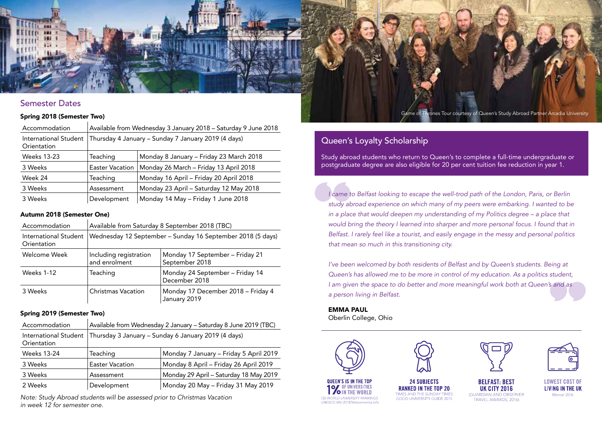

#### Spring 2018 (Semester Two)

| Accommodation                        | Available from Wednesday 3 January 2018 - Saturday 9 June 2018 |                                         |  |
|--------------------------------------|----------------------------------------------------------------|-----------------------------------------|--|
| International Student<br>Orientation | Thursday 4 January - Sunday 7 January 2019 (4 days)            |                                         |  |
| <b>Weeks 13-23</b>                   | Teaching                                                       | Monday 8 January - Friday 23 March 2018 |  |
| 3 Weeks                              | <b>Easter Vacation</b>                                         | Monday 26 March - Friday 13 April 2018  |  |
| Week 24                              | Teaching                                                       | Monday 16 April - Friday 20 April 2018  |  |
| 3 Weeks                              | Assessment                                                     | Monday 23 April - Saturday 12 May 2018  |  |
| 3 Weeks                              | Development                                                    | Monday 14 May - Friday 1 June 2018      |  |

#### Autumn 2018 (Semester One)

| Accommodation                        | Available from Saturday 8 September 2018 (TBC)             |                                                    |  |
|--------------------------------------|------------------------------------------------------------|----------------------------------------------------|--|
| International Student<br>Orientation | Wednesday 12 September - Sunday 16 September 2018 (5 days) |                                                    |  |
| Welcome Week                         | Including registration<br>and enrolment                    | Monday 17 September - Friday 21<br>September 2018  |  |
| <b>Weeks 1-12</b>                    | Teaching                                                   | Monday 24 September - Friday 14<br>December 2018   |  |
| 3 Weeks                              | <b>Christmas Vacation</b>                                  | Monday 17 December 2018 - Friday 4<br>January 2019 |  |

#### Spring 2019 (Semester Two)

| Accommodation                        | Available from Wednesday 2 January - Saturday 8 June 2019 (TBC) |                                        |  |
|--------------------------------------|-----------------------------------------------------------------|----------------------------------------|--|
| International Student<br>Orientation | Thursday 3 January - Sunday 6 January 2019 (4 days)             |                                        |  |
| <b>Weeks 13-24</b>                   | Teaching                                                        | Monday 7 January - Friday 5 April 2019 |  |
| 3 Weeks                              | <b>Easter Vacation</b>                                          | Monday 8 April - Friday 26 April 2019  |  |
| 3 Weeks                              | Assessment                                                      | Monday 29 April - Saturday 18 May 2019 |  |
| 2 Weeks                              | Development                                                     | Monday 20 May - Friday 31 May 2019     |  |

*Note: Study Abroad students will be assessed prior to Christmas Vacation in week 12 for semester one.*

## Queen's Loyalty Scholarship

Study abroad students who return to Queen's to complete a full-time undergraduate or postgraduate degree are also eligible for 20 per cent tuition fee reduction in year 1.

1 came to Belfast looking to escape the well-trod path of the London, Paris, or Berlin *study abroad experience on which many of my peers were embarking. I wanted to be in a place that would deepen my understanding of my Politics degree – a place that would bring the theory I learned into sharper and more personal focus. I found that in Belfast. I rarely feel like a tourist, and easily engage in the messy and personal politics that mean so much in this transitioning city.* 

*I've been welcomed by both residents of Belfast and by Queen's students. Being at Queen's has allowed me to be more in control of my education. As a politics student, I am given the space to do better and more meaningful work both at Queen's and as a person living in Belfast.* 

EMMA PAUL Oberlin College, Ohio





**24 SUBJECTS RANKED IN THE TOP 20** TIMES AND THE SUNDAY TIMES GOOD UNIVERSITY GUIDE 2015

**BELFAST: BEST** 

**UK CITY 2016** 

(GUARDIAN AND OBSERVER

TRAVEL AWARDS, 2016)



**LOWEST COST OF** LIVING IN THE UK Mercer 2016